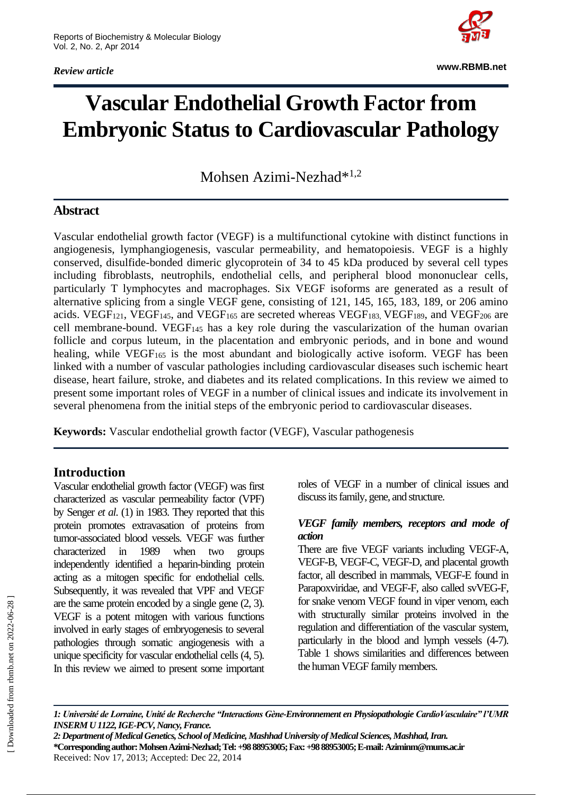*Review article*



**www.RBMB.net**

# **Vascular Endothelial Growth Factor from Embryonic Status to Cardiovascular Pathology**

Mohsen Azimi-Nezhad\*<sup>1,2</sup>

## **Abstract**

Vascular endothelial growth factor (VEGF) is a multifunctional cytokine with distinct functions in angiogenesis, lymphangiogenesis, vascular permeability, and hematopoiesis. VEGF is a highly conserved, disulfide-bonded dimeric glycoprotein of 34 to 45 kDa produced by several cell types including fibroblasts, neutrophils, endothelial cells, and peripheral blood mononuclear cells, particularly T lymphocytes and macrophages. Six VEGF isoforms are generated as a result of alternative splicing from a single VEGF gene, consisting of 121, 145, 165, 183, 189, or 206 amino acids. VEGF<sub>121</sub>, VEGF<sub>145</sub>, and VEGF<sub>165</sub> are secreted whereas VEGF<sub>183</sub>, VEGF<sub>189</sub>, and VEGF<sub>206</sub> are cell membrane-bound. VEGF<sup>145</sup> has a key role during the vascularization of the human ovarian follicle and corpus luteum, in the placentation and embryonic periods, and in bone and wound healing, while VEGF<sub>165</sub> is the most abundant and biologically active isoform. VEGF has been linked with a number of vascular pathologies including cardiovascular diseases such ischemic heart disease, heart failure, stroke, and diabetes and its related complications. In this review we aimed to present some important roles of VEGF in a number of clinical issues and indicate its involvement in several phenomena from the initial steps of the embryonic period to cardiovascular diseases.

**Keywords:** Vascular endothelial growth factor (VEGF), Vascular pathogenesis

## **Introduction**

Vascular endothelial growth factor (VEGF) was first characterized as vascular permeability factor (VPF) by Senger *et al*. (1) in 1983. They reported that this protein promotes extravasation of proteins from tumor-associated blood vessels. VEGF was further characterized in 1989 when two groups independently identified a heparin-binding protein acting as a mitogen specific for endothelial cells. Subsequently, it was revealed that VPF and VEGF are the same protein encoded by a single gene (2, 3). VEGF is a potent mitogen with various functions involved in early stages of embryogenesis to several pathologies through somatic angiogenesis with a unique specificity for vascular endothelial cells (4, 5). In this review we aimed to present some important roles of VEGF in a number of clinical issues and discuss its family, gene, and structure.

#### *VEGF family members, receptors and mode of action*

There are five VEGF variants including VEGF-A, VEGF-B, VEGF-C, VEGF-D, and placental growth factor, all described in mammals, VEGF-E found in Parapoxviridae, and VEGF-F, also called svVEG-F, for snake venom VEGF found in viper venom, each with structurally similar proteins involved in the regulation and differentiation of the vascular system, particularly in the blood and lymph vessels (4-7). Table 1 shows similarities and differences between the human VEGF family members.

*2: Department of Medical Genetics, School of Medicine, Mashhad University of Medical Sciences, Mashhad, Iran.* **\*Corresponding author: Mohsen Azimi-Nezhad; Tel: +98 88953005; Fax: +98 88953005; E-mail: Aziminm@mums.ac.ir** Received: Nov 17, 2013; Accepted: Dec 22, 2014

*<sup>1:</sup> Université de Lorraine, Unité de Recherche "Interactions Gène-Environnement en Physiopathologie CardioVasculaire" l'UMR INSERM U 1122, IGE-PCV, Nancy, France.*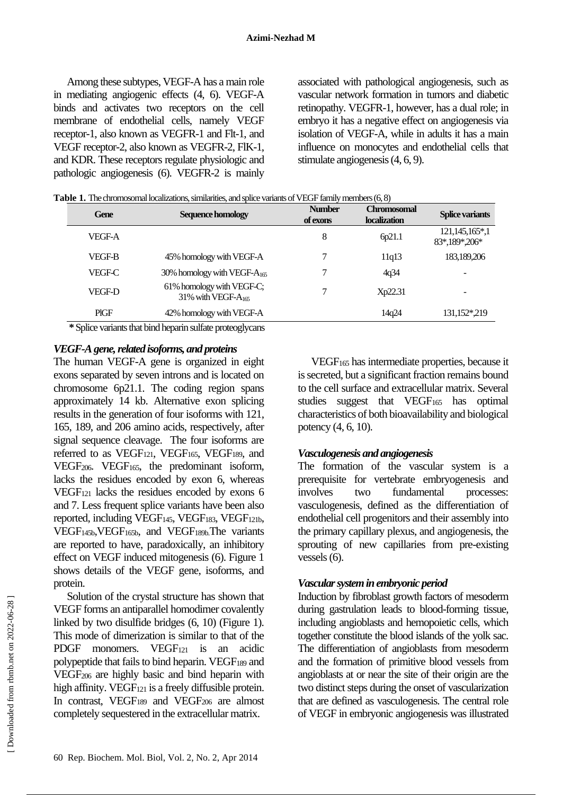Among these subtypes, VEGF-A has a main role in mediating angiogenic effects (4, 6). VEGF-A binds and activates two receptors on the cell membrane of endothelial cells, namely VEGF receptor-1, also known as VEGFR-1 and Flt-1, and VEGF receptor-2, also known as VEGFR-2, FlK-1, and KDR. These receptors regulate physiologic and pathologic angiogenesis (6). VEGFR-2 is mainly associated with pathological angiogenesis, such as vascular network formation in tumors and diabetic retinopathy. VEGFR-1, however, has a dual role; in embryo it has a negative effect on angiogenesis via isolation of VEGF-A, while in adults it has a main influence on monocytes and endothelial cells that stimulate angiogenesis (4, 6, 9).

| Gene          | Sequence homology                                     | <b>Number</b><br>of exons | <b>Chromosomal</b><br><b>localization</b> | <b>Splice variants</b>             |
|---------------|-------------------------------------------------------|---------------------------|-------------------------------------------|------------------------------------|
| VEGF-A        |                                                       | 8                         | 6p21.1                                    | 121, 145, 165*, 1<br>83*,189*,206* |
| VEGF-B        | 45% homology with VEGF-A                              | 7                         | 11q13                                     | 183,189,206                        |
| <b>VEGF-C</b> | 30% homology with VEGF- $A_{165}$                     |                           | 4q34                                      |                                    |
| VEGF-D        | 61% homology with VEGF-C;<br>31% with VEGF- $A_{165}$ | 7                         | Xp22.31                                   |                                    |
| <b>PIGF</b>   | 42% homology with VEGF-A                              |                           | 14q24                                     | 131,152*,219                       |

**\*** Splice variants that bind heparin sulfate proteoglycans

#### *VEGF-A gene, related isoforms, and proteins*

The human VEGF-A gene is organized in eight exons separated by seven introns and is located on chromosome 6p21.1. The coding region spans approximately 14 kb. Alternative exon splicing results in the generation of four isoforms with 121, 165, 189, and 206 amino acids, respectively, after signal sequence cleavage. The four isoforms are referred to as VEGF121, VEGF165, VEGF189, and VEGF206. VEGF165, the predominant isoform, lacks the residues encoded by exon 6, whereas VEGF<sup>121</sup> lacks the residues encoded by exons 6 and 7. Less frequent splice variants have been also reported, including VEGF145, VEGF183, VEGF121b, VEGF145b,VEGF165b, and VEGF189b.The variants are reported to have, paradoxically, an inhibitory effect on VEGF induced mitogenesis (6). Figure 1 shows details of the VEGF gene, isoforms, and protein.

Solution of the crystal structure has shown that VEGF forms an antiparallel homodimer covalently linked by two disulfide bridges (6, 10) (Figure 1). This mode of dimerization is similar to that of the PDGF monomers. VEGF<sub>121</sub> is an acidic polypeptide that fails to bind heparin. VEGF<sup>189</sup> and VEGF<sup>206</sup> are highly basic and bind heparin with high affinity. VEGF $_{121}$  is a freely diffusible protein. In contrast, VEGF<sub>189</sub> and VEGF<sub>206</sub> are almost completely sequestered in the extracellular matrix.

VEGF<sup>165</sup> has intermediate properties, because it is secreted, but a significant fraction remains bound to the cell surface and extracellular matrix. Several studies suggest that VEGF<sub>165</sub> has optimal characteristics of both bioavailability and biological potency (4, 6, 10).

## *Vasculogenesis and angiogenesis*

The formation of the vascular system is a prerequisite for vertebrate embryogenesis and involves two fundamental processes: vasculogenesis, defined as the differentiation of endothelial cell progenitors and their assembly into the primary capillary plexus, and angiogenesis, the sprouting of new capillaries from pre-existing vessels (6).

## *Vascular system in embryonic period*

Induction by fibroblast growth factors of mesoderm during gastrulation leads to blood-forming tissue, including angioblasts and hemopoietic cells, which together constitute the blood islands of the yolk sac. The differentiation of angioblasts from mesoderm and the formation of primitive blood vessels from angioblasts at or near the site of their origin are the two distinct steps during the onset of vascularization that are defined as vasculogenesis. The central role of VEGF in embryonic angiogenesis was illustrated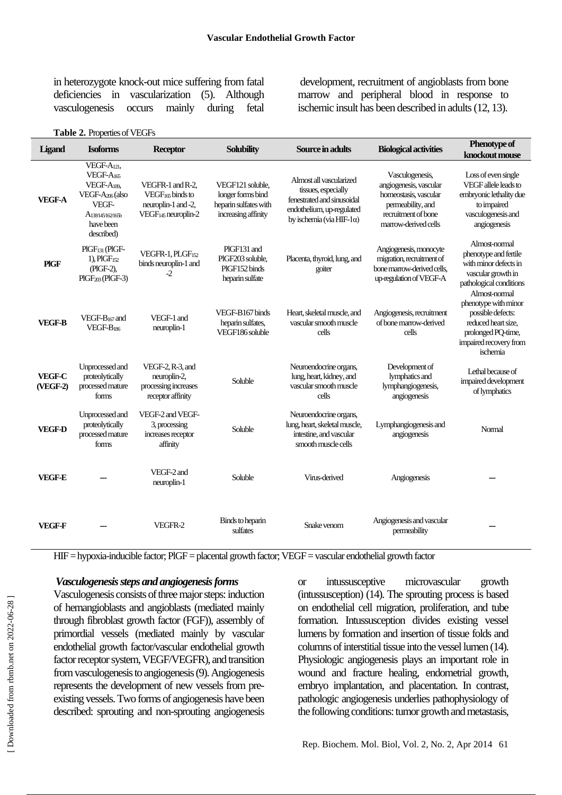in heterozygote knock-out mice suffering from fatal deficiencies in vascularization (5). Although vasculogenesis occurs mainly during fetal

development, recruitment of angioblasts from bone marrow and peripheral blood in response to ischemic insult has been described in adults (12, 13).

|  | Table 2. Properties of VEGFs |
|--|------------------------------|
|--|------------------------------|

| Ligand                    | <b>Isoforms</b>                                                                                                                                             | <b>Receptor</b>                                                                                            | <b>Solubility</b>                                                                     | Source in adults                                                                                                                               | <b>Biological activities</b>                                                                                                           | <b>Phenotype of</b><br>knockout mouse                                                                                             |
|---------------------------|-------------------------------------------------------------------------------------------------------------------------------------------------------------|------------------------------------------------------------------------------------------------------------|---------------------------------------------------------------------------------------|------------------------------------------------------------------------------------------------------------------------------------------------|----------------------------------------------------------------------------------------------------------------------------------------|-----------------------------------------------------------------------------------------------------------------------------------|
| <b>VEGF-A</b>             | VEGF-A <sub>121</sub> ,<br>VEGF-A <sub>165</sub><br>VEGF-A189.<br>VEGF-A <sub>206</sub> (also<br>VEGF-<br>$A_{138/145/162/165b}$<br>have been<br>described) | VEGFR-1 and R-2,<br>VEGF <sub>165</sub> binds to<br>neuroplin-1 and -2,<br>VEGF <sub>145</sub> neuroplin-2 | VEGF121 soluble,<br>longer forms bind<br>heparin sulfates with<br>increasing affinity | Almost all vascularized<br>tissues, especially<br>fenestrated and sinusoidal<br>endothelium, up-regulated<br>by ischemia (via HIF-1 $\alpha$ ) | Vasculogenesis,<br>angiogenesis, vascular<br>homeostasis, vascular<br>permeability, and<br>recruitment of bone<br>marrow-derived cells | Loss of even single<br>VEGF allele leads to<br>embryonic lethality due<br>to impaired<br>vasculogenesis and<br>angiogenesis       |
| <b>PIGF</b>               | $PIGF131$ (PIGF-<br>1), PIGF152<br>(PIGF-2),<br>$PIGF_{203}$ (PIGF-3)                                                                                       | $VEGFR-1, PLGF152$<br>binds neuroplin-1 and<br>$-2$                                                        | PIGF131 and<br>PIGF203 soluble,<br>PIGF152 binds<br>heparin sulfate                   | Placenta, thyroid, lung, and<br>goiter                                                                                                         | Angiogenesis, monocyte<br>migration, recruitment of<br>bone manow-derived cells,<br>up-regulation of VEGF-A                            | Almost-normal<br>phenotype and fertile<br>with minor defects in<br>vascular growth in<br>pathological conditions<br>Almost-normal |
| <b>VEGF-B</b>             | VEGF-B <sub>167</sub> and<br>VEGF-B186                                                                                                                      | VEGF-1 and<br>neuroplin-1                                                                                  | VEGF-B167 binds<br>heparin sulfates,<br>VEGF186 soluble                               | Heart, skeletal muscle, and<br>vascular smooth muscle<br>cells                                                                                 | Angiogenesis, recruitment<br>of bone marrow-derived<br>cells                                                                           | phenotype with minor<br>possible defects:<br>reduced heart size,<br>prolonged PQ-time,<br>impaired recovery from<br>ischemia      |
| <b>VEGF-C</b><br>(VEGF-2) | Unprocessed and<br>proteolytically<br>processed mature<br>forms                                                                                             | $VEGF-2, R-3, and$<br>neuroplin-2,<br>processing increases<br>receptor affinity                            | Soluble                                                                               | Neuroendocrine organs,<br>lung, heart, kidney, and<br>vascular smooth muscle<br>cells                                                          | Development of<br>lymphatics and<br>lymphangiogenesis,<br>angiogenesis                                                                 | Lethal because of<br>impaired development<br>of lymphatics                                                                        |
| <b>VEGF-D</b>             | Unprocessed and<br>proteolytically<br>processed mature<br>forms                                                                                             | VEGF-2 and VEGF-<br>3, processing<br>increases receptor<br>affinity                                        | Soluble                                                                               | Neuroendocrine organs,<br>lung, heart, skeletal muscle,<br>intestine, and vascular<br>smooth muscle cells                                      | Lymphangiogenesis and<br>angiogenesis                                                                                                  | Normal                                                                                                                            |
| <b>VEGF-E</b>             |                                                                                                                                                             | VEGF-2 and<br>neuroplin-1                                                                                  | Soluble                                                                               | Virus-derived                                                                                                                                  | Angiogenesis                                                                                                                           |                                                                                                                                   |
| <b>VEGF-F</b>             |                                                                                                                                                             | VEGFR-2                                                                                                    | Binds to heparin<br>sulfates                                                          | Snake venom                                                                                                                                    | Angiogenesis and vascular<br>permeability                                                                                              |                                                                                                                                   |

HIF = hypoxia-inducible factor; PlGF = placental growth factor; VEGF = vascular endothelial growth factor

#### *Vasculogenesis steps and angiogenesis forms*

Vasculogenesis consists of three major steps: induction of hemangioblasts and angioblasts (mediated mainly through fibroblast growth factor (FGF)), assembly of primordial vessels (mediated mainly by vascular endothelial growth factor/vascular endothelial growth factor receptor system, VEGF/VEGFR), and transition from vasculogenesis to angiogenesis (9). Angiogenesis represents the development of new vessels from preexisting vessels. Two forms of angiogenesis have been described: sprouting and non-sprouting angiogenesis or intussusceptive microvascular growth (intussusception) (14). The sprouting process is based on endothelial cell migration, proliferation, and tube formation. Intussusception divides existing vessel lumens by formation and insertion of tissue folds and columns of interstitial tissue into the vessel lumen (14). Physiologic angiogenesis plays an important role in wound and fracture healing, endometrial growth, embryo implantation, and placentation. In contrast, pathologic angiogenesis underlies pathophysiology of the following conditions: tumor growth and metastasis,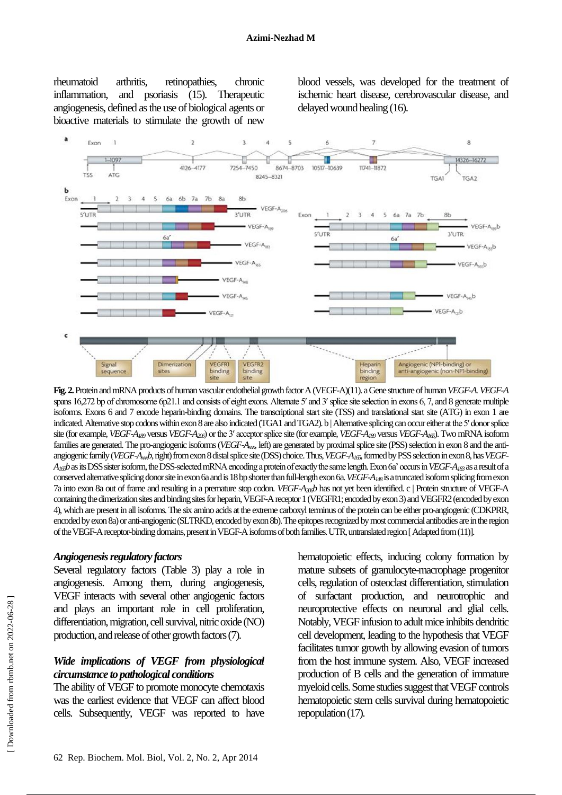rheumatoid arthritis, retinopathies, chronic inflammation, and psoriasis (15). Therapeutic angiogenesis, defined as the use of biological agents or bioactive materials to stimulate the growth of new

blood vessels, was developed for the treatment of ischemic heart disease, cerebrovascular disease, and delayed wound healing (16).



**Fig.2.** Protein and mRNA products of human vascular endothelial growth factor A (VEGF-A)(11). aGene structure of human *VEGF-A. VEGF-A* spans 16,272 bp of chromosome 6p21.1 and consists of eight exons. Alternate 5' and 3' splice site selection in exons 6, 7, and 8 generate multiple isoforms. Exons 6 and 7 encode heparin-binding domains. The transcriptional start site (TSS) and translational start site (ATG) in exon 1 are indicated. Alternative stop codons within exon 8 are also indicated (TGA1 and TGA2). b | Alternative splicing can occur either at the 5′ donor splice site (for example, *VEGF-A<sup>189</sup>* versus *VEGF-A206*) or the 3′ acceptor splice site (for example, *VEGF-A<sup>189</sup>* versus *VEGF-A165*). Two mRNA isoform families are generated. The pro-angiogenic isoforms (*VEGF-Axxx*, left) are generated by proximal splice site (PSS) selection in exon 8 and the antiangiogenic family (*VEGF-Axxxb*, right) from exon 8 distal splice site (DSS) choice. Thus, *VEGF-A165*, formed by PSS selection in exon 8, has *VEGF-A165b*as its DSS sister isoform, the DSS-selected mRNA encoding a protein of exactly the same length. Exon 6a' occurs in *VEGF-A<sup>183</sup>* as a result of a conserved alternative splicing donor site in exon 6a and is 18 bp shorter than full-length exon 6a. *VEGF-A<sup>148</sup>* is a truncated isoform splicing from exon 7a into exon 8a out of frame and resulting in a premature stop codon. *VEGF-A206b* has not yet been identified. c | Protein structure of VEGF-A containing the dimerization sites and binding sites for heparin, VEGF-A receptor 1 (VEGFR1; encoded by exon 3) and VEGFR2 (encoded by exon 4), which are present in all isoforms. The six amino acids at the extreme carboxyl terminus of the protein can be either pro-angiogenic (CDKPRR, encoded by exon 8a) or anti-angiogenic (SLTRKD, encoded by exon 8b). The epitopes recognized by most commercial antibodies are in the region of the VEGF-A receptor-binding domains, present in VEGF-A isoforms of both families. UTR, untranslated region [ Adapted from (11)].

#### *Angiogenesis regulatory factors*

Several regulatory factors (Table 3) play a role in angiogenesis. Among them, during angiogenesis, VEGF interacts with several other angiogenic factors and plays an important role in cell proliferation, differentiation, migration, cell survival, nitric oxide (NO) production, and release of other growth factors (7).

#### *Wide implications of VEGF from physiological circumstance to pathological conditions*

The ability of VEGF to promote monocyte chemotaxis was the earliest evidence that VEGF can affect blood cells. Subsequently, VEGF was reported to have hematopoietic effects, inducing colony formation by mature subsets of granulocyte-macrophage progenitor cells, regulation of osteoclast differentiation, stimulation of surfactant production, and neurotrophic and neuroprotective effects on neuronal and glial cells. Notably, VEGF infusion to adult mice inhibits dendritic cell development, leading to the hypothesis that VEGF facilitates tumor growth by allowing evasion of tumors from the host immune system. Also, VEGF increased production of B cells and the generation of immature myeloid cells. Some studies suggest that VEGF controls hematopoietic stem cells survival during hematopoietic repopulation (17).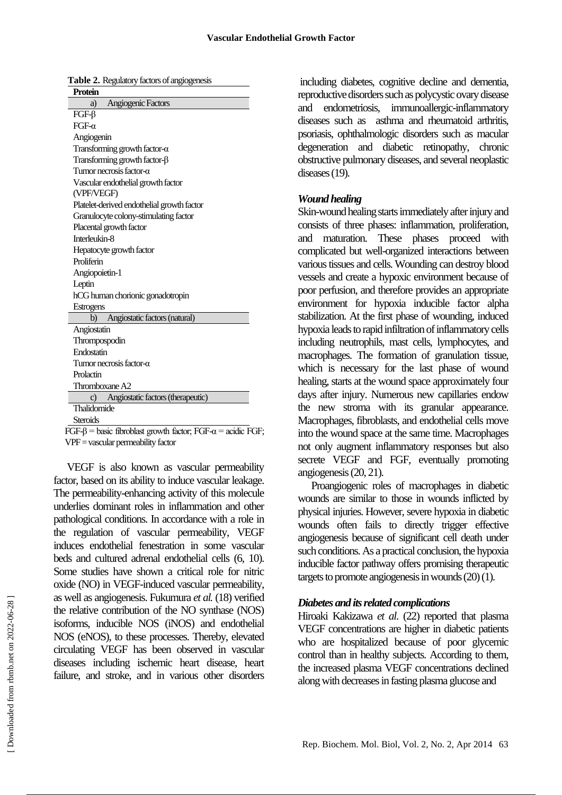|--|

| 1 rvum                                     |
|--------------------------------------------|
| Angiogenic Factors<br>a)                   |
| $FGF-\beta$                                |
| $FGF-\alpha$                               |
| Angiogenin                                 |
| Transforming growth factor- $\alpha$       |
| Transforming growth factor- $\beta$        |
| Tumor necrosis factor- $\alpha$            |
| Vascular endothelial growth factor         |
| (VPF/VEGF)                                 |
| Platelet-derived endothelial growth factor |
| Granulocyte colony-stimulating factor      |
| Placental growth factor                    |
| Interleukin-8                              |
| Hepatocyte growth factor                   |
| Proliferin                                 |
| Angiopoietin-1                             |
| Leptin                                     |
| hCG human chorionic gonadotropin           |
| <b>Estrogens</b>                           |
| Angiostatic factors (natural)<br>b)        |
| Angiostatin                                |
| Thrompospodin                              |
| Endostatin                                 |
| Tumor necrosis factor- $\alpha$            |
| Prolactin                                  |
| Thromboxane A2                             |
| c) Angiostatic factors (therapeutic)       |
| Thalidomide                                |
| <b>Steroids</b>                            |
| $\cdots$<br>vт n                           |

FGF- $\beta$  = basic fibroblast growth factor; FGF- $\alpha$  = acidic FGF; VPF = vascular permeability factor

VEGF is also known as vascular permeability factor, based on its ability to induce vascular leakage. The permeability-enhancing activity of this molecule underlies dominant roles in inflammation and other pathological conditions. In accordance with a role in the regulation of vascular permeability, VEGF induces endothelial fenestration in some vascular beds and cultured adrenal endothelial cells (6, 10). Some studies have shown a critical role for nitric oxide (NO) in VEGF-induced vascular permeability, as well as angiogenesis. Fukumura *et al.* (18) verified the relative contribution of the NO synthase (NOS) isoforms, inducible NOS (iNOS) and endothelial NOS (eNOS), to these processes. Thereby, elevated circulating VEGF has been observed in vascular diseases including ischemic heart disease, heart failure, and stroke, and in various other disorders

including diabetes, cognitive decline and dementia, reproductive disorders such as polycystic ovary disease and endometriosis, immunoallergic-inflammatory diseases such as asthma and rheumatoid arthritis, psoriasis, ophthalmologic disorders such as macular degeneration and diabetic retinopathy, chronic obstructive pulmonary diseases, and several neoplastic diseases (19).

#### *Wound healing*

Skin-wound healing starts immediately after injury and consists of three phases: inflammation, proliferation, and maturation. These phases proceed with complicated but well-organized interactions between various tissues and cells. Wounding can destroy blood vessels and create a hypoxic environment because of poor perfusion, and therefore provides an appropriate environment for hypoxia inducible factor alpha stabilization. At the first phase of wounding, induced hypoxia leads to rapid infiltration of inflammatory cells including neutrophils, mast cells, lymphocytes, and macrophages. The formation of granulation tissue, which is necessary for the last phase of wound healing, starts at the wound space approximately four days after injury. Numerous new capillaries endow the new stroma with its granular appearance. Macrophages, fibroblasts, and endothelial cells move into the wound space at the same time. Macrophages not only augment inflammatory responses but also secrete VEGF and FGF, eventually promoting angiogenesis (20, 21).

Proangiogenic roles of macrophages in diabetic wounds are similar to those in wounds inflicted by physical injuries. However, severe hypoxia in diabetic wounds often fails to directly trigger effective angiogenesis because of significant cell death under such conditions. As a practical conclusion, the hypoxia inducible factor pathway offers promising therapeutic targets to promote angiogenesis in wounds(20) (1).

#### *Diabetes and its related complications*

Hiroaki Kakizawa *et al*. (22) reported that plasma VEGF concentrations are higher in diabetic patients who are hospitalized because of poor glycemic control than in healthy subjects. According to them, the increased plasma VEGF concentrations declined along with decreases in fasting plasma glucose and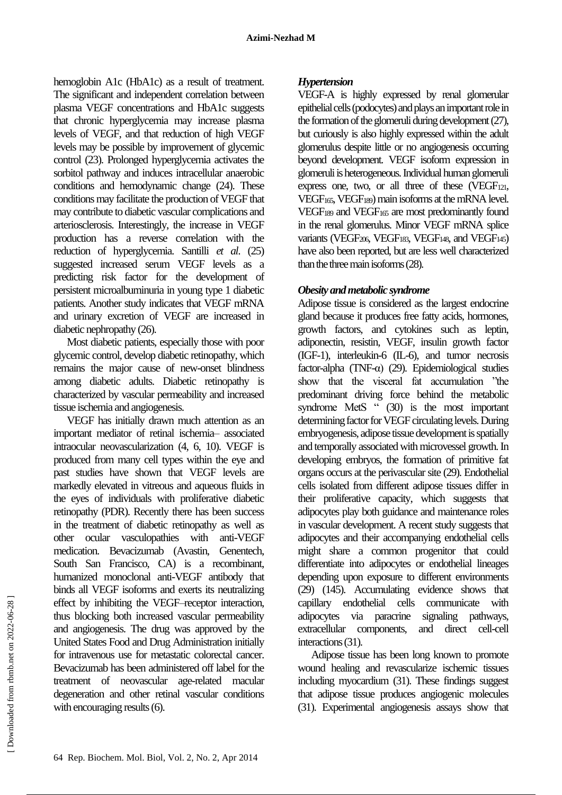hemoglobin A1c (HbA1c) as a result of treatment. The significant and independent correlation between plasma VEGF concentrations and HbA1c suggests that chronic hyperglycemia may increase plasma levels of VEGF, and that reduction of high VEGF levels may be possible by improvement of glycemic control (23). Prolonged hyperglycemia activates the sorbitol pathway and induces intracellular anaerobic conditions and hemodynamic change (24). These conditions may facilitate the production of VEGF that may contribute to diabetic vascular complications and arteriosclerosis. Interestingly, the increase in VEGF production has a reverse correlation with the reduction of hyperglycemia. Santilli *et al*. (25) suggested increased serum VEGF levels as a predicting risk factor for the development of persistent microalbuminuria in young type 1 diabetic patients. Another study indicates that VEGF mRNA and urinary excretion of VEGF are increased in diabetic nephropathy (26).

Most diabetic patients, especially those with poor glycemic control, develop diabetic retinopathy, which remains the major cause of new-onset blindness among diabetic adults. Diabetic retinopathy is characterized by vascular permeability and increased tissue ischemia and angiogenesis.

VEGF has initially drawn much attention as an important mediator of retinal ischemia– associated intraocular neovascularization (4, 6, 10). VEGF is produced from many cell types within the eye and past studies have shown that VEGF levels are markedly elevated in vitreous and aqueous fluids in the eyes of individuals with proliferative diabetic retinopathy (PDR). Recently there has been success in the treatment of diabetic retinopathy as well as other ocular vasculopathies with anti-VEGF medication. Bevacizumab (Avastin, Genentech, South San Francisco, CA) is a recombinant, humanized monoclonal anti-VEGF antibody that binds all VEGF isoforms and exerts its neutralizing effect by inhibiting the VEGF–receptor interaction, thus blocking both increased vascular permeability and angiogenesis. The drug was approved by the United States Food and Drug Administration initially for intravenous use for metastatic colorectal cancer. Bevacizumab has been administered off label for the treatment of neovascular age-related macular degeneration and other retinal vascular conditions with encouraging results (6).

## *Hypertension*

VEGF-A is highly expressed by renal glomerular epithelial cells (podocytes) and plays an important role in the formation of the glomeruli during development (27), but curiously is also highly expressed within the adult glomerulus despite little or no angiogenesis occurring beyond development. VEGF isoform expression in glomeruli is heterogeneous. Individual human glomeruli express one, two, or all three of these (VEGF121, VEGF165, VEGF189) main isoforms at the mRNA level. VEGF<sub>189</sub> and VEGF<sub>165</sub> are most predominantly found in the renal glomerulus. Minor VEGF mRNA splice variants (VEGF206, VEGF183, VEGF148, and VEGF145) have also been reported, but are less well characterized than the three main isoforms (28).

## *Obesity and metabolic syndrome*

Adipose tissue is considered as the largest endocrine gland because it produces free fatty acids, hormones, growth factors, and cytokines such as leptin, adiponectin, resistin, VEGF, insulin growth factor (IGF-1), interleukin-6 (IL-6), and tumor necrosis factor-alpha (TNF- $\alpha$ ) (29). Epidemiological studies show that the visceral fat accumulation "the predominant driving force behind the metabolic syndrome MetS " (30) is the most important determining factor for VEGF circulating levels. During embryogenesis, adipose tissue development is spatially and temporally associated with microvessel growth. In developing embryos, the formation of primitive fat organs occurs at the perivascular site (29). Endothelial cells isolated from different adipose tissues differ in their proliferative capacity, which suggests that adipocytes play both guidance and maintenance roles in vascular development. A recent study suggests that adipocytes and their accompanying endothelial cells might share a common progenitor that could differentiate into adipocytes or endothelial lineages depending upon exposure to different environments (29) (145). Accumulating evidence shows that capillary endothelial cells communicate with adipocytes via paracrine signaling pathways, extracellular components, and direct cell-cell interactions (31).

Adipose tissue has been long known to promote wound healing and revascularize ischemic tissues including myocardium (31). These findings suggest that adipose tissue produces angiogenic molecules (31). Experimental angiogenesis assays show that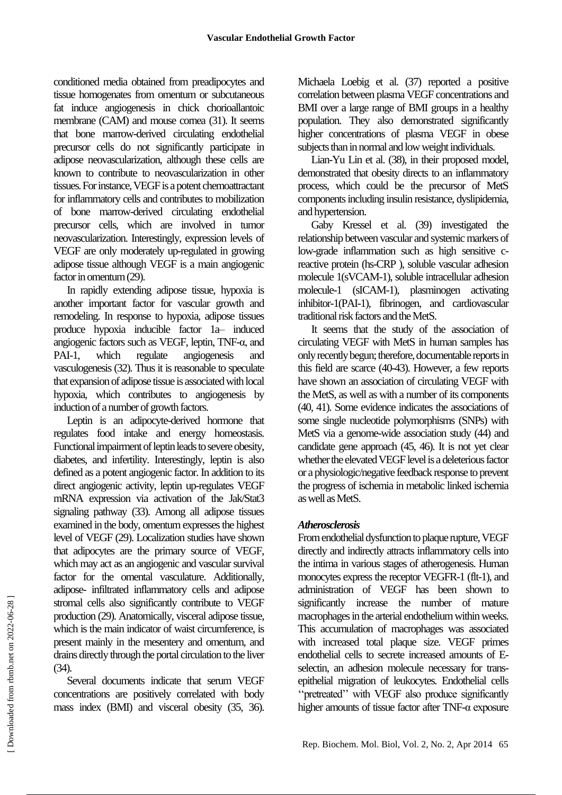conditioned media obtained from preadipocytes and tissue homogenates from omentum or subcutaneous fat induce angiogenesis in chick chorioallantoic membrane (CAM) and mouse cornea (31). It seems that bone marrow-derived circulating endothelial precursor cells do not significantly participate in adipose neovascularization, although these cells are known to contribute to neovascularization in other tissues. For instance, VEGF is a potent chemoattractant for inflammatory cells and contributes to mobilization of bone marrow-derived circulating endothelial precursor cells, which are involved in tumor neovascularization. Interestingly, expression levels of VEGF are only moderately up-regulated in growing adipose tissue although VEGF is a main angiogenic factor in omentum (29).

In rapidly extending adipose tissue, hypoxia is another important factor for vascular growth and remodeling. In response to hypoxia, adipose tissues produce hypoxia inducible factor 1a– induced angiogenic factors such as VEGF, leptin, TNF-α, and PAI-1, which regulate angiogenesis and vasculogenesis (32). Thus it is reasonable to speculate that expansion of adipose tissue is associated with local hypoxia, which contributes to angiogenesis by induction of a number of growth factors.

Leptin is an adipocyte-derived hormone that regulates food intake and energy homeostasis. Functional impairment of leptin leads to severe obesity, diabetes, and infertility. Interestingly, leptin is also defined as a potent angiogenic factor. In addition to its direct angiogenic activity, leptin up-regulates VEGF mRNA expression via activation of the Jak/Stat3 signaling pathway (33). Among all adipose tissues examined in the body, omentum expresses the highest level of VEGF (29). Localization studies have shown that adipocytes are the primary source of VEGF, which may act as an angiogenic and vascular survival factor for the omental vasculature. Additionally, adipose- infiltrated inflammatory cells and adipose stromal cells also significantly contribute to VEGF production (29). Anatomically, visceral adipose tissue, which is the main indicator of waist circumference, is present mainly in the mesentery and omentum, and drains directly through the portal circulation to the liver (34).

Several documents indicate that serum VEGF concentrations are positively correlated with body mass index (BMI) and visceral obesity (35, 36).

Michaela Loebig et al. (37) reported a positive correlation between plasma VEGF concentrations and BMI over a large range of BMI groups in a healthy population. They also demonstrated significantly higher concentrations of plasma VEGF in obese subjects than in normal and low weight individuals.

Lian-Yu Lin et al. (38), in their proposed model, demonstrated that obesity directs to an inflammatory process, which could be the precursor of MetS components including insulin resistance, dyslipidemia, and hypertension.

Gaby Kressel et al. (39) investigated the relationship between vascular and systemic markers of low-grade inflammation such as high sensitive creactive protein (hs-CRP ), soluble vascular adhesion molecule 1(sVCAM-1), soluble intracellular adhesion molecule-1 (sICAM-1), plasminogen activating inhibitor-1(PAI-1), fibrinogen, and cardiovascular traditional risk factors and the MetS.

It seems that the study of the association of circulating VEGF with MetS in human samples has only recently begun; therefore, documentable reports in this field are scarce (40-43). However, a few reports have shown an association of circulating VEGF with the MetS, as well as with a number of its components (40, 41). Some evidence indicates the associations of some single nucleotide polymorphisms (SNPs) with MetS via a genome-wide association study (44) and candidate gene approach (45, 46). It is not yet clear whether the elevated VEGF level is a deleterious factor or a physiologic/negative feedback response to prevent the progress of ischemia in metabolic linked ischemia as well as MetS.

## *Atherosclerosis*

From endothelial dysfunction to plaque rupture, VEGF directly and indirectly attracts inflammatory cells into the intima in various stages of atherogenesis. Human monocytes express the receptor VEGFR-1 (flt-1), and administration of VEGF has been shown to significantly increase the number of mature macrophages in the arterial endothelium within weeks. This accumulation of macrophages was associated with increased total plaque size. VEGF primes endothelial cells to secrete increased amounts of Eselectin, an adhesion molecule necessary for transepithelial migration of leukocytes. Endothelial cells ''pretreated'' with VEGF also produce significantly higher amounts of tissue factor after TNF-α exposure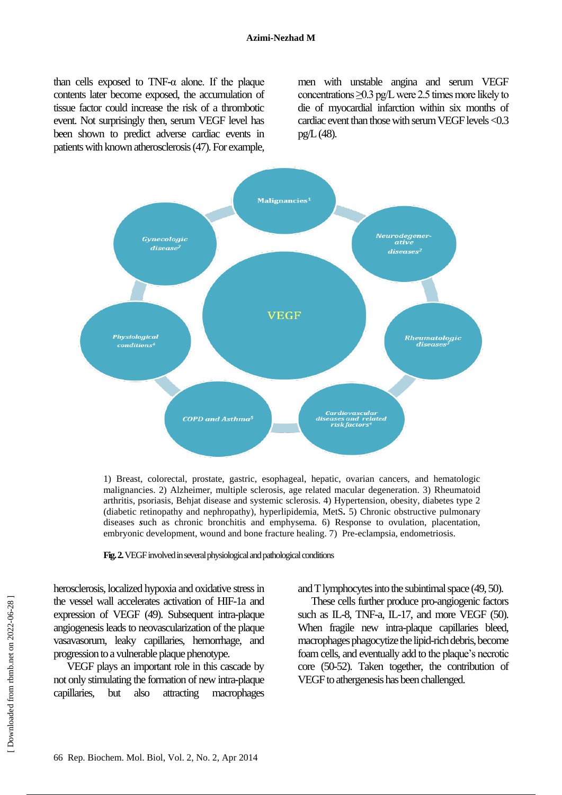than cells exposed to TNF- $\alpha$  alone. If the plaque contents later become exposed, the accumulation of tissue factor could increase the risk of a thrombotic event. Not surprisingly then, serum VEGF level has been shown to predict adverse cardiac events in patients with known atherosclerosis (47). For example,

men with unstable angina and serum VEGF concentrations  $\geq$ 0.3 pg/L were 2.5 times more likely to die of myocardial infarction within six months of cardiac event than those with serum VEGF levels <0.3 pg/L (48).



1) Breast, colorectal, prostate, gastric, esophageal, hepatic, ovarian cancers, and hematologic malignancies. 2) Alzheimer, multiple sclerosis, age related macular degeneration. 3) Rheumatoid arthritis, psoriasis, Behjat disease and systemic sclerosis. 4) Hypertension, obesity, diabetes type 2 (diabetic retinopathy and nephropathy), hyperlipidemia, MetS**.** 5) Chronic obstructive pulmonary diseases *s*uch as chronic bronchitis and emphysema. 6) Response to ovulation, placentation, embryonic development, wound and bone fracture healing. 7) Pre-eclampsia, endometriosis.

**Fig.2.**VEGF involved in several physiological and pathological conditions

herosclerosis, localized hypoxia and oxidative stress in the vessel wall accelerates activation of HIF-1a and expression of VEGF (49). Subsequent intra-plaque angiogenesis leads to neovascularization of the plaque vasavasorum, leaky capillaries, hemorrhage, and progression to a vulnerable plaque phenotype.

VEGF plays an important role in this cascade by not only stimulating the formation of new intra-plaque capillaries, but also attracting macrophages and T lymphocytes into the subintimal space (49, 50).

These cells further produce pro-angiogenic factors such as IL-8, TNF-a, IL-17, and more VEGF (50). When fragile new intra-plaque capillaries bleed, macrophages phagocytize the lipid-rich debris, become foam cells, and eventually add to the plaque's necrotic core (50-52). Taken together, the contribution of VEGF to athergenesis has been challenged.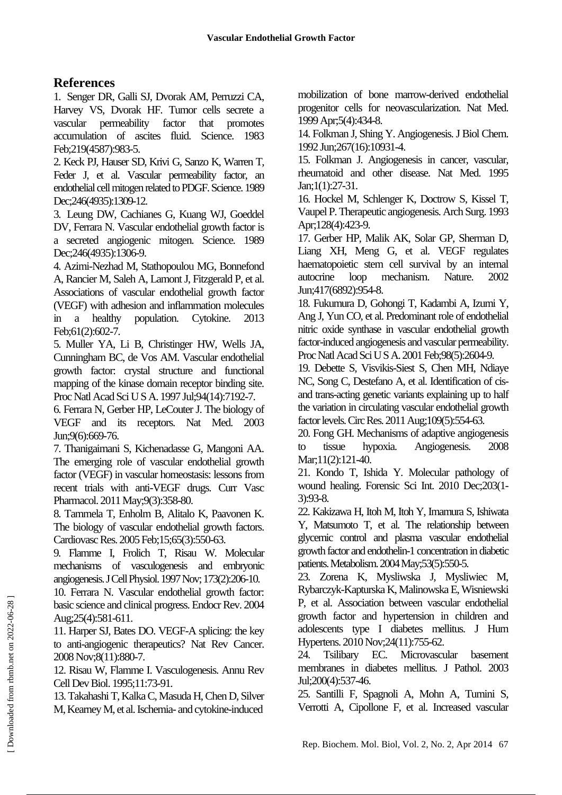## **References**

1. Senger DR, Galli SJ, Dvorak AM, Perruzzi CA, Harvey VS, Dvorak HF. Tumor cells secrete a vascular permeability factor that promotes accumulation of ascites fluid. Science. 1983 Feb;219(4587):983-5.

2. Keck PJ, Hauser SD, Krivi G, Sanzo K, Warren T, Feder J, et al. Vascular permeability factor, an endothelial cell mitogen related to PDGF. Science.1989 Dec;246(4935):1309-12.

3. Leung DW, Cachianes G, Kuang WJ, Goeddel DV, Ferrara N. Vascular endothelial growth factor is a secreted angiogenic mitogen. Science. 1989 Dec;246(4935):1306-9.

4. Azimi-Nezhad M, Stathopoulou MG, Bonnefond A, Rancier M, Saleh A, Lamont J, Fitzgerald P, et al. Associations of vascular endothelial growth factor (VEGF) with adhesion and inflammation molecules in a healthy population. Cytokine. 2013 Feb;61(2):602-7.

5. Muller YA, Li B, Christinger HW, Wells JA, Cunningham BC, de Vos AM. Vascular endothelial growth factor: crystal structure and functional mapping of the kinase domain receptor binding site. Proc Natl Acad Sci U S A. 1997 Jul;94(14):7192-7.

6. Ferrara N, Gerber HP, LeCouter J. The biology of VEGF and its receptors. Nat Med. 2003 Jun;9(6):669-76.

7. Thanigaimani S, Kichenadasse G, Mangoni AA. The emerging role of vascular endothelial growth factor (VEGF) in vascular homeostasis: lessons from recent trials with anti-VEGF drugs. Curr Vasc Pharmacol. 2011 May;9(3):358-80.

8. Tammela T, Enholm B, Alitalo K, Paavonen K. The biology of vascular endothelial growth factors. Cardiovasc Res. 2005 Feb;15;65(3):550-63.

9. Flamme I, Frolich T, Risau W. Molecular mechanisms of vasculogenesis and embryonic angiogenesis. J Cell Physiol.1997Nov; 173(2):206-10.

10. Ferrara N. Vascular endothelial growth factor: basic science and clinical progress. Endocr Rev. 2004 Aug;25(4):581-611.

11. Harper SJ, Bates DO. VEGF-A splicing: the key to anti-angiogenic therapeutics? Nat Rev Cancer. 2008Nov;8(11):880-7.

12. Risau W, Flamme I. Vasculogenesis. Annu Rev Cell Dev Biol. 1995;11:73-91.

13. Takahashi T, Kalka C, Masuda H, Chen D, Silver M, Kearney M, et al. Ischemia- and cytokine-induced

mobilization of bone marrow-derived endothelial progenitor cells for neovascularization. Nat Med. 1999Apr;5(4):434-8.

14. Folkman J, Shing Y. Angiogenesis. J Biol Chem. 1992 Jun;267(16):10931-4.

15. Folkman J. Angiogenesis in cancer, vascular, rheumatoid and other disease. Nat Med. 1995 Jan;1(1):27-31.

16. Hockel M, Schlenger K, Doctrow S, Kissel T, Vaupel P. Therapeutic angiogenesis. Arch Surg. 1993 Apr;128(4):423-9.

17. Gerber HP, Malik AK, Solar GP, Sherman D, Liang XH, Meng G, et al. VEGF regulates haematopoietic stem cell survival by an internal autocrine loop mechanism. Nature. 2002 Jun;417(6892):954-8.

18. Fukumura D, Gohongi T, Kadambi A, Izumi Y, Ang J, Yun CO, et al. Predominant role of endothelial nitric oxide synthase in vascular endothelial growth factor-induced angiogenesis and vascular permeability. Proc Natl Acad Sci U S A. 2001 Feb;98(5):2604-9.

19. Debette S, Visvikis-Siest S, Chen MH, Ndiaye NC, Song C, Destefano A, et al. Identification of cisand trans-acting genetic variants explaining up to half the variation in circulating vascular endothelial growth factor levels. Circ Res. 2011 Aug;109(5):554-63.

20. Fong GH. Mechanisms of adaptive angiogenesis to tissue hypoxia. Angiogenesis. 2008 Mar;11(2):121-40.

21. Kondo T, Ishida Y. Molecular pathology of wound healing. Forensic Sci Int. 2010 Dec;203(1- 3):93-8.

22. Kakizawa H, Itoh M, Itoh Y, Imamura S, Ishiwata Y, Matsumoto T, et al. The relationship between glycemic control and plasma vascular endothelial growth factor and endothelin-1 concentration in diabetic patients. Metabolism.2004May;53(5):550-5.

23. Zorena K, Mysliwska J, Mysliwiec M, Rybarczyk-Kapturska K, Malinowska E, Wisniewski P, et al. Association between vascular endothelial growth factor and hypertension in children and adolescents type I diabetes mellitus. J Hum Hypertens. 2010 Nov; 24(11): 755-62.

24. Tsilibary EC. Microvascular basement membranes in diabetes mellitus. J Pathol. 2003 Jul;200(4):537-46.

25. Santilli F, Spagnoli A, Mohn A, Tumini S, Verrotti A, Cipollone F, et al. Increased vascular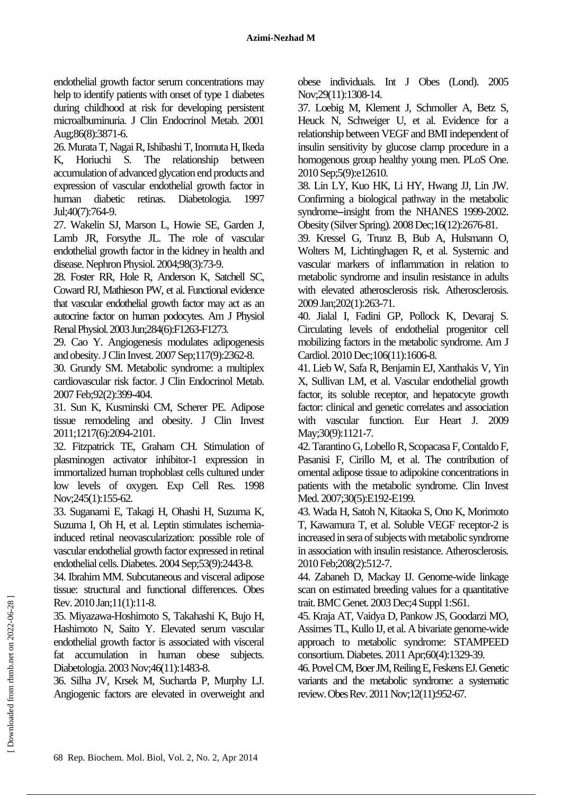endothelial growth factor serum concentrations may help to identify patients with onset of type 1 diabetes during childhood at risk for developing persistent microalbuminuria. J Clin Endocrinol Metab. 2001 Aug;86(8):3871-6.

26. Murata T, Nagai R, Ishibashi T, Inomuta H, Ikeda K, Horiuchi S. The relationship between accumulation of advanced glycation end products and expression of vascular endothelial growth factor in human diabetic retinas. Diabetologia. 1997 Jul;40(7):764-9.

27. Wakelin SJ, Marson L, Howie SE, Garden J, Lamb JR, Forsythe JL. The role of vascular endothelial growth factor in the kidney in health and disease. Nephron Physiol. 2004;98(3):73-9.

28. Foster RR, Hole R, Anderson K, Satchell SC, Coward RJ, Mathieson PW, et al. Functional evidence that vascular endothelial growth factor may act as an autocrine factor on human podocytes. Am J Physiol Renal Physiol.2003Jun;284(6):F1263-F1273.

29. Cao Y. Angiogenesis modulates adipogenesis and obesity. J Clin Invest. 2007 Sep;117(9):2362-8.

30. Grundy SM. Metabolic syndrome: a multiplex cardiovascular risk factor. J Clin Endocrinol Metab. 2007Feb;92(2):399-404.

31. Sun K, Kusminski CM, Scherer PE. Adipose tissue remodeling and obesity. J Clin Invest 2011;1217(6):2094-2101.

32. Fitzpatrick TE, Graham CH. Stimulation of plasminogen activator inhibitor-1 expression in immortalized human trophoblast cells cultured under low levels of oxygen. Exp Cell Res. 1998 Nov;245(1):155-62.

33. Suganami E, Takagi H, Ohashi H, Suzuma K, Suzuma I, Oh H, et al. Leptin stimulates ischemiainduced retinal neovascularization: possible role of vascular endothelial growth factor expressed in retinal endothelial cells. Diabetes. 2004 Sep;53(9):2443-8.

34. Ibrahim MM. Subcutaneous and visceral adipose tissue: structural and functional differences. Obes Rev. 2010 Jan;11(1):11-8.

35. Miyazawa-Hoshimoto S, Takahashi K, Bujo H, Hashimoto N, Saito Y. Elevated serum vascular endothelial growth factor is associated with visceral fat accumulation in human obese subjects. Diabetologia. 2003Nov;46(11):1483-8.

36. Silha JV, Krsek M, Sucharda P, Murphy LJ. Angiogenic factors are elevated in overweight and obese individuals. Int J Obes (Lond). 2005 Nov;29(11):1308-14.

37. Loebig M, Klement J, Schmoller A, Betz S, Heuck N, Schweiger U, et al. Evidence for a relationship between VEGF and BMI independent of insulin sensitivity by glucose clamp procedure in a homogenous group healthy young men. PLoS One. 2010Sep;5(9):e12610.

38. Lin LY, Kuo HK, Li HY, Hwang JJ, Lin JW. Confirming a biological pathway in the metabolic syndrome--insight from the NHANES 1999-2002. Obesity (Silver Spring). 2008 Dec;16(12):2676-81.

39. Kressel G, Trunz B, Bub A, Hulsmann O, Wolters M, Lichtinghagen R, et al. Systemic and vascular markers of inflammation in relation to metabolic syndrome and insulin resistance in adults with elevated atherosclerosis risk. Atherosclerosis. 2009 Jan;202(1):263-71.

40. Jialal I, Fadini GP, Pollock K, Devaraj S. Circulating levels of endothelial progenitor cell mobilizing factors in the metabolic syndrome. Am J Cardiol. 2010 Dec;106(11):1606-8.

41. Lieb W, Safa R, Benjamin EJ, Xanthakis V, Yin X, Sullivan LM, et al. Vascular endothelial growth factor, its soluble receptor, and hepatocyte growth factor: clinical and genetic correlates and association with vascular function. Eur Heart J. 2009 May; 30(9): 1121-7.

42. Tarantino G, Lobello R, Scopacasa F, Contaldo F, Pasanisi F, Cirillo M, et al. The contribution of omental adipose tissue to adipokine concentrations in patients with the metabolic syndrome. Clin Invest Med. 2007;30(5):E192-E199.

43. Wada H, Satoh N, Kitaoka S, Ono K, Morimoto T, Kawamura T, et al. Soluble VEGF receptor-2 is increased in sera of subjects with metabolic syndrome in association with insulin resistance. Atherosclerosis. 2010Feb;208(2):512-7.

44. Zabaneh D, Mackay IJ. Genome-wide linkage scan on estimated breeding values for a quantitative trait. BMC Genet. 2003 Dec; 4 Suppl 1:S61.

45. Kraja AT, Vaidya D, Pankow JS, Goodarzi MO, Assimes TL, Kullo IJ, et al. A bivariate genome-wide approach to metabolic syndrome: STAMPEED consortium. Diabetes. 2011 Apr;60(4):1329-39.

46. Povel CM, Boer JM, Reiling E, Feskens EJ. Genetic variants and the metabolic syndrome: a systematic review. Obes Rev.2011Nov;12(11):952-67.